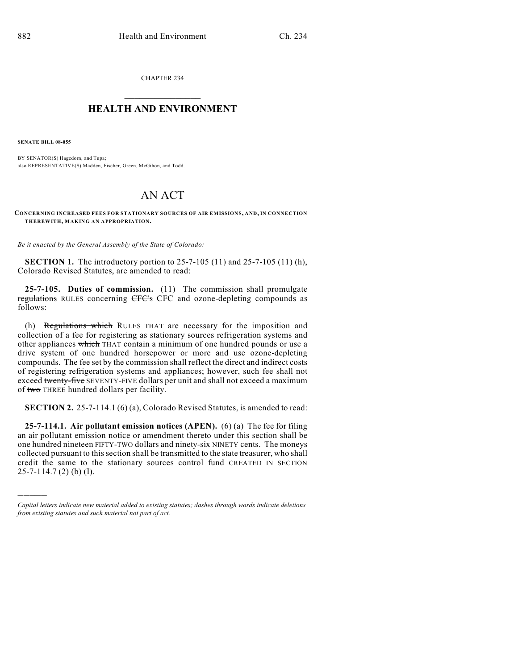CHAPTER 234

## $\overline{\phantom{a}}$  . The set of the set of the set of the set of the set of the set of the set of the set of the set of the set of the set of the set of the set of the set of the set of the set of the set of the set of the set o **HEALTH AND ENVIRONMENT**  $\_$

**SENATE BILL 08-055**

)))))

BY SENATOR(S) Hagedorn, and Tupa; also REPRESENTATIVE(S) Madden, Fischer, Green, McGihon, and Todd.

## AN ACT

**CONCERNING INCREASED FEES FOR STATIONARY SOURCES OF AIR EMISSIONS, AND, IN CONNECTION THEREWITH, MAKING AN APPROPRIATION.**

*Be it enacted by the General Assembly of the State of Colorado:*

**SECTION 1.** The introductory portion to 25-7-105 (11) and 25-7-105 (11) (h), Colorado Revised Statutes, are amended to read:

**25-7-105. Duties of commission.** (11) The commission shall promulgate regulations RULES concerning CFC's CFC and ozone-depleting compounds as follows:

(h) Regulations which RULES THAT are necessary for the imposition and collection of a fee for registering as stationary sources refrigeration systems and other appliances which THAT contain a minimum of one hundred pounds or use a drive system of one hundred horsepower or more and use ozone-depleting compounds. The fee set by the commission shall reflect the direct and indirect costs of registering refrigeration systems and appliances; however, such fee shall not exceed twenty-five SEVENTY-FIVE dollars per unit and shall not exceed a maximum of two THREE hundred dollars per facility.

**SECTION 2.** 25-7-114.1 (6) (a), Colorado Revised Statutes, is amended to read:

**25-7-114.1. Air pollutant emission notices (APEN).** (6) (a) The fee for filing an air pollutant emission notice or amendment thereto under this section shall be one hundred nineteen FIFTY-TWO dollars and ninety-six NINETY cents. The moneys collected pursuant to this section shall be transmitted to the state treasurer, who shall credit the same to the stationary sources control fund CREATED IN SECTION 25-7-114.7 (2) (b) (I).

*Capital letters indicate new material added to existing statutes; dashes through words indicate deletions from existing statutes and such material not part of act.*